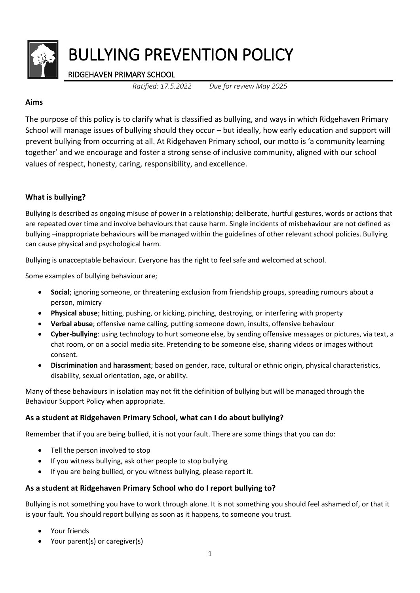

# RIDGEHAVEN PRIMARY SCHOOL

*Ratified: 17.5.2022 Due for review May 2025*

## **Aims**

The purpose of this policy is to clarify what is classified as bullying, and ways in which Ridgehaven Primary School will manage issues of bullying should they occur – but ideally, how early education and support will prevent bullying from occurring at all. At Ridgehaven Primary school, our motto is 'a community learning together' and we encourage and foster a strong sense of inclusive community, aligned with our school values of respect, honesty, caring, responsibility, and excellence.

# **What is bullying?**

Bullying is described as ongoing misuse of power in a relationship; deliberate, hurtful gestures, words or actions that are repeated over time and involve behaviours that cause harm. Single incidents of misbehaviour are not defined as bullying –inappropriate behaviours will be managed within the guidelines of other relevant school policies. Bullying can cause physical and psychological harm.

Bullying is unacceptable behaviour. Everyone has the right to feel safe and welcomed at school.

Some examples of bullying behaviour are;

- **Social**; ignoring someone, or threatening exclusion from friendship groups, spreading rumours about a person, mimicry
- **Physical abuse**; hitting, pushing, or kicking, pinching, destroying, or interfering with property
- **Verbal abuse**; offensive name calling, putting someone down, insults, offensive behaviour
- **Cyber-bullying**: using technology to hurt someone else, by sending offensive messages or pictures, via text, a chat room, or on a social media site. Pretending to be someone else, sharing videos or images without consent.
- **Discrimination** and **harassmen**t; based on gender, race, cultural or ethnic origin, physical characteristics, disability, sexual orientation, age, or ability.

Many of these behaviours in isolation may not fit the definition of bullying but will be managed through the Behaviour Support Policy when appropriate.

# **As a student at Ridgehaven Primary School, what can I do about bullying?**

Remember that if you are being bullied, it is not your fault. There are some things that you can do:

- Tell the person involved to stop
- If you witness bullying, ask other people to stop bullying
- If you are being bullied, or you witness bullying, please report it.

# **As a student at Ridgehaven Primary School who do I report bullying to?**

Bullying is not something you have to work through alone. It is not something you should feel ashamed of, or that it is your fault. You should report bullying as soon as it happens, to someone you trust.

- Your friends
- Your parent(s) or caregiver(s)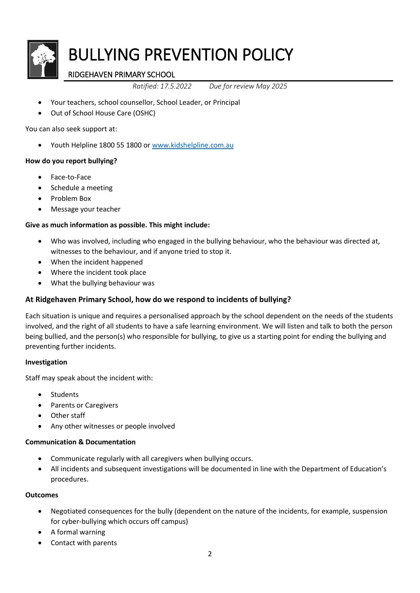

# RIDGEHAVEN PRIMARY SCHOOL

*Ratified: 17.5.2022 Due for review May 2025*

- Your teachers, school counsellor, School Leader, or Principal
- Out of School House Care (OSHC)

You can also seek support at:

Youth Helpline 1800 55 1800 o[r www.kidshelpline.com.au](http://www.kidshelpline.com.au/)

#### **How do you report bullying?**

- Face-to-Face
- Schedule a meeting
- Problem Box
- Message your teacher

## **Give as much information as possible. This might include:**

- Who was involved, including who engaged in the bullying behaviour, who the behaviour was directed at, witnesses to the behaviour, and if anyone tried to stop it.
- When the incident happened
- Where the incident took place
- What the bullying behaviour was

# **At Ridgehaven Primary School, how do we respond to incidents of bullying?**

Each situation is unique and requires a personalised approach by the school dependent on the needs of the students involved, and the right of all students to have a safe learning environment. We will listen and talk to both the person being bullied, and the person(s) who responsible for bullying, to give us a starting point for ending the bullying and preventing further incidents.

#### **Investigation**

Staff may speak about the incident with:

- Students
- Parents or Caregivers
- Other staff
- Any other witnesses or people involved

#### **Communication & Documentation**

- Communicate regularly with all caregivers when bullying occurs.
- All incidents and subsequent investigations will be documented in line with the Department of Education's procedures.

#### **Outcomes**

- Negotiated consequences for the bully (dependent on the nature of the incidents, for example, suspension for cyber-bullying which occurs off campus)
- A formal warning
- Contact with parents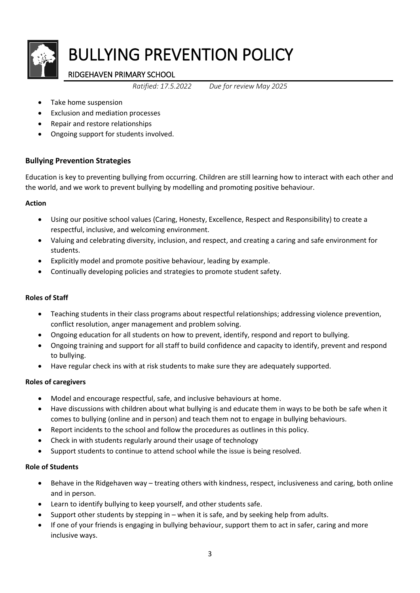

# RIDGEHAVEN PRIMARY SCHOOL

*Ratified: 17.5.2022 Due for review May 2025*

- Take home suspension
- Exclusion and mediation processes
- Repair and restore relationships
- Ongoing support for students involved.

## **Bullying Prevention Strategies**

Education is key to preventing bullying from occurring. Children are still learning how to interact with each other and the world, and we work to prevent bullying by modelling and promoting positive behaviour.

## **Action**

- Using our positive school values (Caring, Honesty, Excellence, Respect and Responsibility) to create a respectful, inclusive, and welcoming environment.
- Valuing and celebrating diversity, inclusion, and respect, and creating a caring and safe environment for students.
- Explicitly model and promote positive behaviour, leading by example.
- Continually developing policies and strategies to promote student safety.

## **Roles of Staff**

- Teaching students in their class programs about respectful relationships; addressing violence prevention, conflict resolution, anger management and problem solving.
- Ongoing education for all students on how to prevent, identify, respond and report to bullying.
- Ongoing training and support for all staff to build confidence and capacity to identify, prevent and respond to bullying.
- Have regular check ins with at risk students to make sure they are adequately supported.

#### **Roles of caregivers**

- Model and encourage respectful, safe, and inclusive behaviours at home.
- Have discussions with children about what bullying is and educate them in ways to be both be safe when it comes to bullying (online and in person) and teach them not to engage in bullying behaviours.
- Report incidents to the school and follow the procedures as outlines in this policy.
- Check in with students regularly around their usage of technology
- Support students to continue to attend school while the issue is being resolved.

#### **Role of Students**

- Behave in the Ridgehaven way treating others with kindness, respect, inclusiveness and caring, both online and in person.
- Learn to identify bullying to keep yourself, and other students safe.
- Support other students by stepping in when it is safe, and by seeking help from adults.
- If one of your friends is engaging in bullying behaviour, support them to act in safer, caring and more inclusive ways.